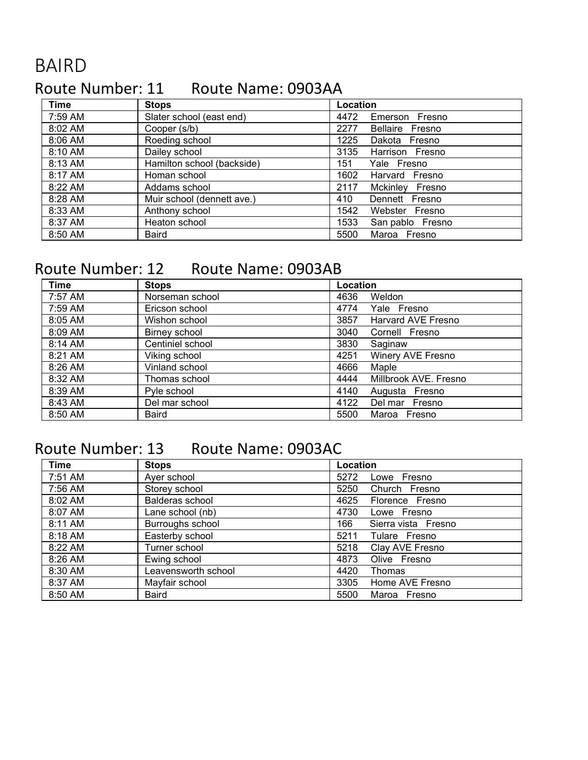# BAIRD

# Route Number: 11 Route Name: 0903AA

| <b>Time</b> | <b>Stops</b>               | Location                 |
|-------------|----------------------------|--------------------------|
| 7:59 AM     | Slater school (east end)   | 4472<br>Emerson Fresno   |
| 8:02 AM     | Cooper (s/b)               | 2277<br>Bellaire Fresno  |
| 8:06 AM     | Roeding school             | Dakota Fresno<br>1225    |
| 8:10 AM     | Dailey school              | 3135<br>Harrison Fresno  |
| 8:13 AM     | Hamilton school (backside) | 151<br>Yale Fresno       |
| 8:17 AM     | Homan school               | 1602<br>Harvard Fresno   |
| 8:22 AM     | Addams school              | Mckinley Fresno<br>2117  |
| 8:28 AM     | Muir school (dennett ave.) | 410<br>Dennett Fresno    |
| 8:33 AM     | Anthony school             | 1542<br>Webster Fresno   |
| 8:37 AM     | Heaton school              | 1533<br>San pablo Fresno |
| 8:50 AM     | Baird                      | 5500<br>Maroa Fresno     |

#### Route Number: 12 Route Name: 0903AB

| <b>Time</b> | <b>Stops</b>     | Location |                       |
|-------------|------------------|----------|-----------------------|
| 7:57 AM     | Norseman school  | 4636     | Weldon                |
| 7:59 AM     | Ericson school   | 4774     | Yale Fresno           |
| 8:05 AM     | Wishon school    | 3857     | Harvard AVE Fresno    |
| 8:09 AM     | Birney school    | 3040     | Cornell Fresno        |
| 8:14 AM     | Centiniel school | 3830     | Saginaw               |
| 8:21 AM     | Viking school    | 4251     | Winery AVE Fresno     |
| 8:26 AM     | Vinland school   | 4666     | Maple                 |
| 8:32 AM     | Thomas school    | 4444     | Millbrook AVE. Fresno |
| 8:39 AM     | Pyle school      | 4140     | Augusta Fresno        |
| 8:43 AM     | Del mar school   | 4122     | Del mar Fresno        |
| 8:50 AM     | Baird            | 5500     | Maroa Fresno          |

# Route Number: 13 Route Name: 0903AC

| <b>Time</b> | <b>Stops</b>        | Location                   |
|-------------|---------------------|----------------------------|
| 7:51 AM     | Ayer school         | 5272<br>Lowe Fresno        |
| 7:56 AM     | Storey school       | 5250<br>Church Fresno      |
| 8:02 AM     | Balderas school     | 4625<br>Florence Fresno    |
| 8:07 AM     | Lane school (nb)    | 4730<br>Lowe Fresno        |
| 8:11 AM     | Burroughs school    | 166<br>Sierra vista Fresno |
| 8:18 AM     | Easterby school     | 5211<br>Tulare Fresno      |
| 8:22 AM     | Turner school       | Clay AVE Fresno<br>5218    |
| 8:26 AM     | Ewing school        | 4873<br>Olive Fresno       |
| 8:30 AM     | Leavensworth school | 4420<br><b>Thomas</b>      |
| 8:37 AM     | Mayfair school      | 3305<br>Home AVE Fresno    |
| 8:50 AM     | Baird               | 5500<br>Maroa Fresno       |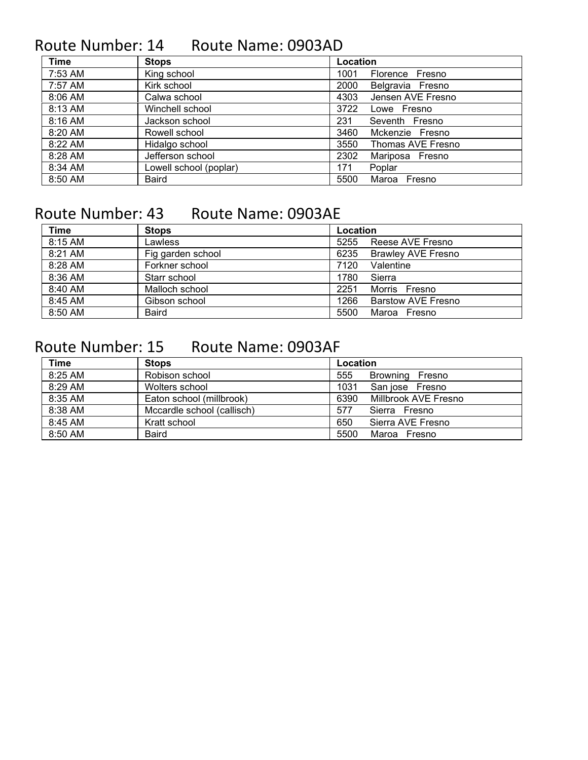## Route Number: 14 Route Name: 0903AD

| <b>Time</b> | <b>Stops</b>           | Location                  |
|-------------|------------------------|---------------------------|
| 7:53 AM     | King school            | 1001<br>Florence Fresno   |
| 7:57 AM     | Kirk school            | 2000<br>Belgravia Fresno  |
| 8:06 AM     | Calwa school           | Jensen AVE Fresno<br>4303 |
| 8:13 AM     | Winchell school        | 3722<br>Lowe Fresno       |
| 8:16 AM     | Jackson school         | 231<br>Seventh Fresno     |
| 8:20 AM     | Rowell school          | 3460<br>Mckenzie Fresno   |
| 8:22 AM     | Hidalgo school         | 3550<br>Thomas AVE Fresno |
| 8:28 AM     | Jefferson school       | 2302<br>Mariposa Fresno   |
| 8:34 AM     | Lowell school (poplar) | 171<br>Poplar             |
| 8:50 AM     | Baird                  | 5500<br>Maroa Fresno      |

## Route Number: 43 Route Name: 0903AE

| Time      | <b>Stops</b>      | Location |                    |
|-----------|-------------------|----------|--------------------|
| 8:15 AM   | Lawless           | 5255     | Reese AVE Fresno   |
| 8:21 AM   | Fig garden school | 6235     | Brawley AVE Fresno |
| 8:28 AM   | Forkner school    | 7120     | Valentine          |
| 8:36 AM   | Starr school      | 1780     | Sierra             |
| 8:40 AM   | Malloch school    | 2251     | Morris Fresno      |
| 8:45 AM   | Gibson school     | 1266     | Barstow AVE Fresno |
| $8:50$ AM | Baird             | 5500     | Maroa Fresno       |

## Route Number: 15 Route Name: 0903AF

| Time      | <b>Stops</b>               | Location                     |
|-----------|----------------------------|------------------------------|
| $8:25$ AM | Robison school             | 555<br>Browning Fresno       |
| 8:29 AM   | Wolters school             | 1031<br>San jose Fresno      |
| 8:35 AM   | Eaton school (millbrook)   | 6390<br>Millbrook AVE Fresno |
| 8:38 AM   | Mccardle school (callisch) | 577<br>Sierra Fresno         |
| 8:45 AM   | Kratt school               | 650<br>Sierra AVE Fresno     |
| 8:50 AM   | <b>Baird</b>               | 5500<br>Maroa Fresno         |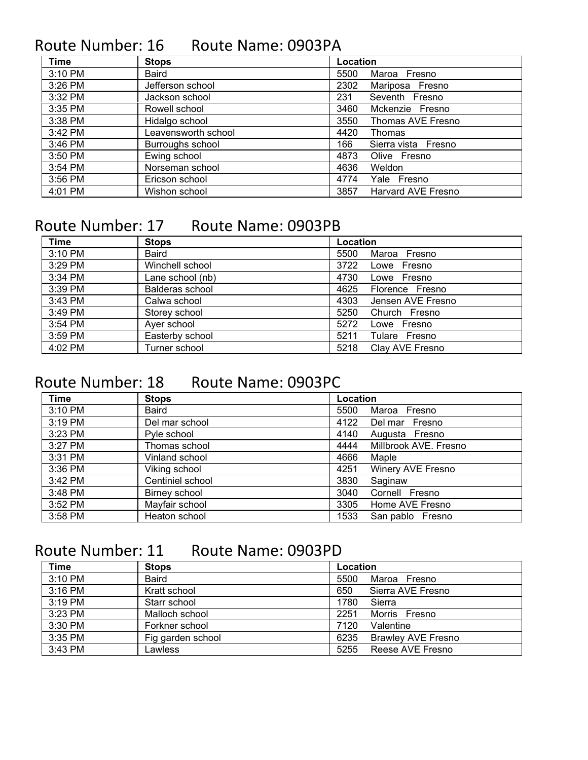## Route Number: 16 Route Name: 0903PA

| <b>Time</b> | <b>Stops</b>        | Location                   |
|-------------|---------------------|----------------------------|
| 3:10 PM     | <b>Baird</b>        | Maroa Fresno<br>5500       |
| 3:26 PM     | Jefferson school    | 2302<br>Mariposa Fresno    |
| 3:32 PM     | Jackson school      | Seventh Fresno<br>231      |
| 3:35 PM     | Rowell school       | 3460<br>Mckenzie Fresno    |
| 3:38 PM     | Hidalgo school      | Thomas AVE Fresno<br>3550  |
| 3:42 PM     | Leavensworth school | 4420<br>Thomas             |
| 3:46 PM     | Burroughs school    | 166<br>Sierra vista Fresno |
| 3:50 PM     | Ewing school        | 4873<br>Olive Fresno       |
| 3:54 PM     | Norseman school     | 4636<br>Weldon             |
| 3:56 PM     | Ericson school      | 4774<br>Yale Fresno        |
| 4:01 PM     | Wishon school       | 3857<br>Harvard AVE Fresno |

#### Route Number: 17 Route Name: 0903PB

| <b>Time</b> | <b>Stops</b>     | Location                  |
|-------------|------------------|---------------------------|
| 3:10 PM     | <b>Baird</b>     | 5500<br>Maroa Fresno      |
| 3:29 PM     | Winchell school  | 3722<br>Lowe Fresno       |
| 3:34 PM     | Lane school (nb) | 4730<br>Lowe Fresno       |
| 3:39 PM     | Balderas school  | 4625<br>Florence Fresno   |
| 3:43 PM     | Calwa school     | 4303<br>Jensen AVE Fresno |
| 3:49 PM     | Storey school    | 5250<br>Church Fresno     |
| 3:54 PM     | Ayer school      | 5272<br>Lowe Fresno       |
| 3:59 PM     | Easterby school  | 5211<br>Tulare Fresno     |
| 4:02 PM     | Turner school    | Clay AVE Fresno<br>5218   |

#### Route Number: 18 Route Name: 0903PC

| <b>Time</b> | <b>Stops</b>     | Location                      |
|-------------|------------------|-------------------------------|
| 3:10 PM     | <b>Baird</b>     | 5500<br>Maroa Fresno          |
| 3:19 PM     | Del mar school   | 4122<br>Del mar Fresno        |
| 3:23 PM     | Pyle school      | 4140<br>Augusta Fresno        |
| 3:27 PM     | Thomas school    | Millbrook AVE. Fresno<br>4444 |
| 3:31 PM     | Vinland school   | 4666<br>Maple                 |
| 3:36 PM     | Viking school    | Winery AVE Fresno<br>4251     |
| 3:42 PM     | Centiniel school | 3830<br>Saginaw               |
| 3:48 PM     | Birney school    | Cornell Fresno<br>3040        |
| 3:52 PM     | Mayfair school   | Home AVE Fresno<br>3305       |
| 3:58 PM     | Heaton school    | 1533<br>San pablo Fresno      |

#### Route Number: 11 Route Name: 0903PD

| <b>Time</b> | <b>Stops</b>      | Location                          |
|-------------|-------------------|-----------------------------------|
| 3:10 PM     | <b>Baird</b>      | 5500<br>Maroa Fresno              |
| $3:16$ PM   | Kratt school      | 650<br>Sierra AVE Fresno          |
| $3:19$ PM   | Starr school      | 1780<br>Sierra                    |
| $3:23$ PM   | Malloch school    | 2251<br>Morris Fresno             |
| 3:30 PM     | Forkner school    | Valentine<br>7120                 |
| 3:35 PM     | Fig garden school | <b>Brawley AVE Fresno</b><br>6235 |
| 3:43 PM     | _awless           | Reese AVE Fresno<br>5255          |